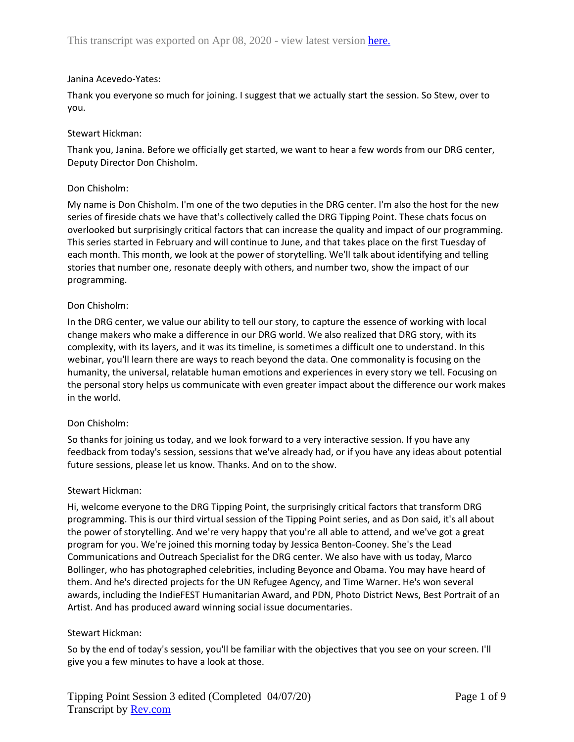### Janina Acevedo-Yates:

Thank you everyone so much for joining. I suggest that we actually start the session. So Stew, over to you.

### Stewart Hickman:

Thank you, Janina. Before we officially get started, we want to hear a few words from our DRG center, Deputy Director Don Chisholm.

### Don Chisholm:

My name is Don Chisholm. I'm one of the two deputies in the DRG center. I'm also the host for the new series of fireside chats we have that's collectively called the DRG Tipping Point. These chats focus on overlooked but surprisingly critical factors that can increase the quality and impact of our programming. This series started in February and will continue to June, and that takes place on the first Tuesday of each month. This month, we look at the power of storytelling. We'll talk about identifying and telling stories that number one, resonate deeply with others, and number two, show the impact of our programming.

### Don Chisholm:

In the DRG center, we value our ability to tell our story, to capture the essence of working with local change makers who make a difference in our DRG world. We also realized that DRG story, with its complexity, with its layers, and it was its timeline, is sometimes a difficult one to understand. In this webinar, you'll learn there are ways to reach beyond the data. One commonality is focusing on the humanity, the universal, relatable human emotions and experiences in every story we tell. Focusing on the personal story helps us communicate with even greater impact about the difference our work makes in the world.

#### Don Chisholm:

So thanks for joining us today, and we look forward to a very interactive session. If you have any feedback from today's session, sessions that we've already had, or if you have any ideas about potential future sessions, please let us know. Thanks. And on to the show.

#### Stewart Hickman:

Hi, welcome everyone to the DRG Tipping Point, the surprisingly critical factors that transform DRG programming. This is our third virtual session of the Tipping Point series, and as Don said, it's all about the power of storytelling. And we're very happy that you're all able to attend, and we've got a great program for you. We're joined this morning today by Jessica Benton-Cooney. She's the Lead Communications and Outreach Specialist for the DRG center. We also have with us today, Marco Bollinger, who has photographed celebrities, including Beyonce and Obama. You may have heard of them. And he's directed projects for the UN Refugee Agency, and Time Warner. He's won several awards, including the IndieFEST Humanitarian Award, and PDN, Photo District News, Best Portrait of an Artist. And has produced award winning social issue documentaries.

## Stewart Hickman:

So by the end of today's session, you'll be familiar with the objectives that you see on your screen. I'll give you a few minutes to have a look at those.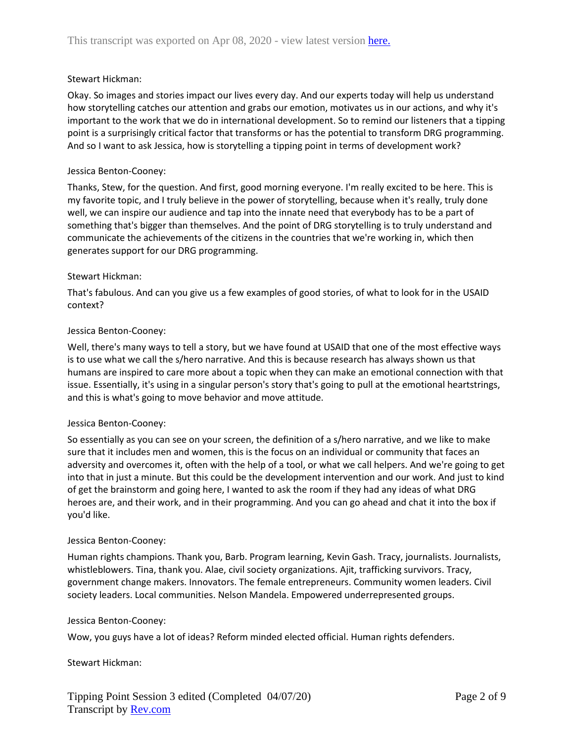## Stewart Hickman:

Okay. So images and stories impact our lives every day. And our experts today will help us understand how storytelling catches our attention and grabs our emotion, motivates us in our actions, and why it's important to the work that we do in international development. So to remind our listeners that a tipping point is a surprisingly critical factor that transforms or has the potential to transform DRG programming. And so I want to ask Jessica, how is storytelling a tipping point in terms of development work?

### Jessica Benton-Cooney:

Thanks, Stew, for the question. And first, good morning everyone. I'm really excited to be here. This is my favorite topic, and I truly believe in the power of storytelling, because when it's really, truly done well, we can inspire our audience and tap into the innate need that everybody has to be a part of something that's bigger than themselves. And the point of DRG storytelling is to truly understand and communicate the achievements of the citizens in the countries that we're working in, which then generates support for our DRG programming.

### Stewart Hickman:

That's fabulous. And can you give us a few examples of good stories, of what to look for in the USAID context?

### Jessica Benton-Cooney:

Well, there's many ways to tell a story, but we have found at USAID that one of the most effective ways is to use what we call the s/hero narrative. And this is because research has always shown us that humans are inspired to care more about a topic when they can make an emotional connection with that issue. Essentially, it's using in a singular person's story that's going to pull at the emotional heartstrings, and this is what's going to move behavior and move attitude.

#### Jessica Benton-Cooney:

So essentially as you can see on your screen, the definition of a s/hero narrative, and we like to make sure that it includes men and women, this is the focus on an individual or community that faces an adversity and overcomes it, often with the help of a tool, or what we call helpers. And we're going to get into that in just a minute. But this could be the development intervention and our work. And just to kind of get the brainstorm and going here, I wanted to ask the room if they had any ideas of what DRG heroes are, and their work, and in their programming. And you can go ahead and chat it into the box if you'd like.

#### Jessica Benton-Cooney:

Human rights champions. Thank you, Barb. Program learning, Kevin Gash. Tracy, journalists. Journalists, whistleblowers. Tina, thank you. Alae, civil society organizations. Ajit, trafficking survivors. Tracy, government change makers. Innovators. The female entrepreneurs. Community women leaders. Civil society leaders. Local communities. Nelson Mandela. Empowered underrepresented groups.

#### Jessica Benton-Cooney:

Wow, you guys have a lot of ideas? Reform minded elected official. Human rights defenders.

## Stewart Hickman: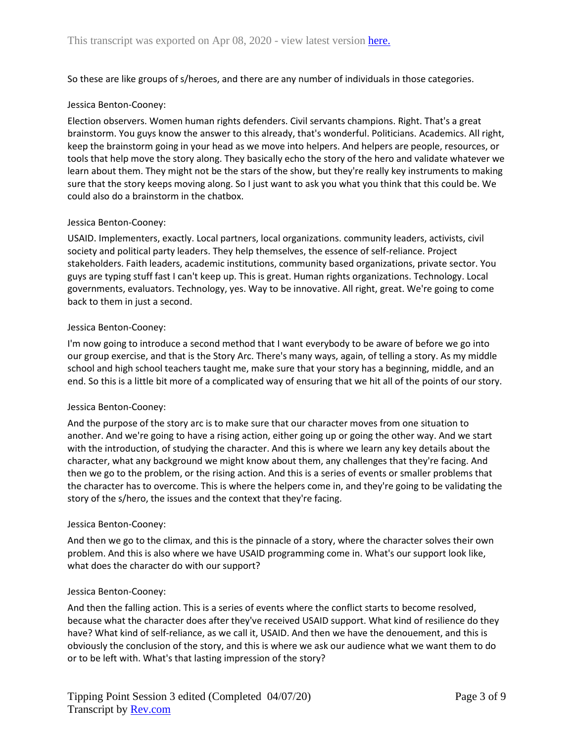So these are like groups of s/heroes, and there are any number of individuals in those categories.

#### Jessica Benton-Cooney:

Election observers. Women human rights defenders. Civil servants champions. Right. That's a great brainstorm. You guys know the answer to this already, that's wonderful. Politicians. Academics. All right, keep the brainstorm going in your head as we move into helpers. And helpers are people, resources, or tools that help move the story along. They basically echo the story of the hero and validate whatever we learn about them. They might not be the stars of the show, but they're really key instruments to making sure that the story keeps moving along. So I just want to ask you what you think that this could be. We could also do a brainstorm in the chatbox.

### Jessica Benton-Cooney:

USAID. Implementers, exactly. Local partners, local organizations. community leaders, activists, civil society and political party leaders. They help themselves, the essence of self-reliance. Project stakeholders. Faith leaders, academic institutions, community based organizations, private sector. You guys are typing stuff fast I can't keep up. This is great. Human rights organizations. Technology. Local governments, evaluators. Technology, yes. Way to be innovative. All right, great. We're going to come back to them in just a second.

### Jessica Benton-Cooney:

I'm now going to introduce a second method that I want everybody to be aware of before we go into our group exercise, and that is the Story Arc. There's many ways, again, of telling a story. As my middle school and high school teachers taught me, make sure that your story has a beginning, middle, and an end. So this is a little bit more of a complicated way of ensuring that we hit all of the points of our story.

#### Jessica Benton-Cooney:

And the purpose of the story arc is to make sure that our character moves from one situation to another. And we're going to have a rising action, either going up or going the other way. And we start with the introduction, of studying the character. And this is where we learn any key details about the character, what any background we might know about them, any challenges that they're facing. And then we go to the problem, or the rising action. And this is a series of events or smaller problems that the character has to overcome. This is where the helpers come in, and they're going to be validating the story of the s/hero, the issues and the context that they're facing.

#### Jessica Benton-Cooney:

And then we go to the climax, and this is the pinnacle of a story, where the character solves their own problem. And this is also where we have USAID programming come in. What's our support look like, what does the character do with our support?

#### Jessica Benton-Cooney:

And then the falling action. This is a series of events where the conflict starts to become resolved, because what the character does after they've received USAID support. What kind of resilience do they have? What kind of self-reliance, as we call it, USAID. And then we have the denouement, and this is obviously the conclusion of the story, and this is where we ask our audience what we want them to do or to be left with. What's that lasting impression of the story?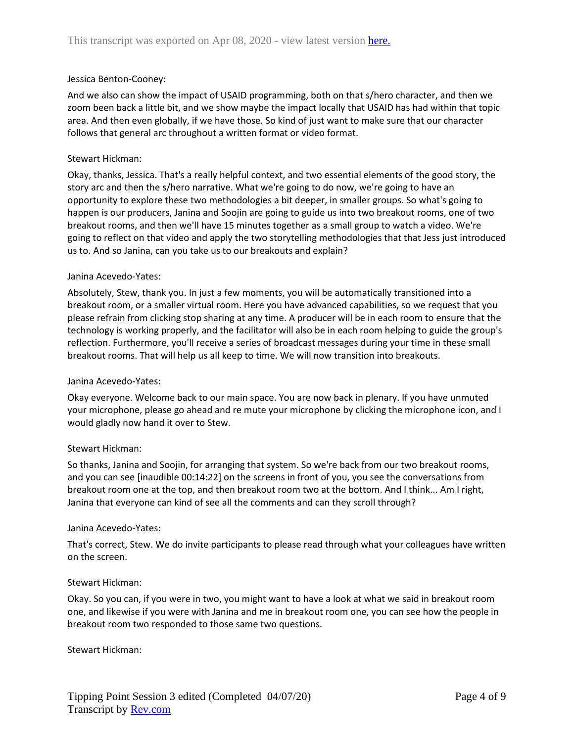### Jessica Benton-Cooney:

And we also can show the impact of USAID programming, both on that s/hero character, and then we zoom been back a little bit, and we show maybe the impact locally that USAID has had within that topic area. And then even globally, if we have those. So kind of just want to make sure that our character follows that general arc throughout a written format or video format.

### Stewart Hickman:

Okay, thanks, Jessica. That's a really helpful context, and two essential elements of the good story, the story arc and then the s/hero narrative. What we're going to do now, we're going to have an opportunity to explore these two methodologies a bit deeper, in smaller groups. So what's going to happen is our producers, Janina and Soojin are going to guide us into two breakout rooms, one of two breakout rooms, and then we'll have 15 minutes together as a small group to watch a video. We're going to reflect on that video and apply the two storytelling methodologies that that Jess just introduced us to. And so Janina, can you take us to our breakouts and explain?

### Janina Acevedo-Yates:

Absolutely, Stew, thank you. In just a few moments, you will be automatically transitioned into a breakout room, or a smaller virtual room. Here you have advanced capabilities, so we request that you please refrain from clicking stop sharing at any time. A producer will be in each room to ensure that the technology is working properly, and the facilitator will also be in each room helping to guide the group's reflection. Furthermore, you'll receive a series of broadcast messages during your time in these small breakout rooms. That will help us all keep to time. We will now transition into breakouts.

## Janina Acevedo-Yates:

Okay everyone. Welcome back to our main space. You are now back in plenary. If you have unmuted your microphone, please go ahead and re mute your microphone by clicking the microphone icon, and I would gladly now hand it over to Stew.

## Stewart Hickman:

So thanks, Janina and Soojin, for arranging that system. So we're back from our two breakout rooms, and you can see [inaudible 00:14:22] on the screens in front of you, you see the conversations from breakout room one at the top, and then breakout room two at the bottom. And I think... Am I right, Janina that everyone can kind of see all the comments and can they scroll through?

#### Janina Acevedo-Yates:

That's correct, Stew. We do invite participants to please read through what your colleagues have written on the screen.

#### Stewart Hickman:

Okay. So you can, if you were in two, you might want to have a look at what we said in breakout room one, and likewise if you were with Janina and me in breakout room one, you can see how the people in breakout room two responded to those same two questions.

#### Stewart Hickman: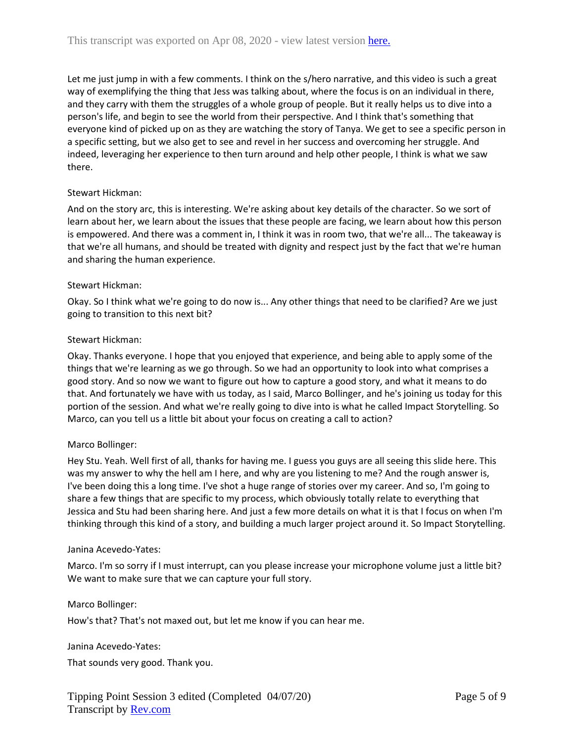Let me just jump in with a few comments. I think on the s/hero narrative, and this video is such a great way of exemplifying the thing that Jess was talking about, where the focus is on an individual in there, and they carry with them the struggles of a whole group of people. But it really helps us to dive into a person's life, and begin to see the world from their perspective. And I think that's something that everyone kind of picked up on as they are watching the story of Tanya. We get to see a specific person in a specific setting, but we also get to see and revel in her success and overcoming her struggle. And indeed, leveraging her experience to then turn around and help other people, I think is what we saw there.

## Stewart Hickman:

And on the story arc, this is interesting. We're asking about key details of the character. So we sort of learn about her, we learn about the issues that these people are facing, we learn about how this person is empowered. And there was a comment in, I think it was in room two, that we're all... The takeaway is that we're all humans, and should be treated with dignity and respect just by the fact that we're human and sharing the human experience.

## Stewart Hickman:

Okay. So I think what we're going to do now is... Any other things that need to be clarified? Are we just going to transition to this next bit?

## Stewart Hickman:

Okay. Thanks everyone. I hope that you enjoyed that experience, and being able to apply some of the things that we're learning as we go through. So we had an opportunity to look into what comprises a good story. And so now we want to figure out how to capture a good story, and what it means to do that. And fortunately we have with us today, as I said, Marco Bollinger, and he's joining us today for this portion of the session. And what we're really going to dive into is what he called Impact Storytelling. So Marco, can you tell us a little bit about your focus on creating a call to action?

## Marco Bollinger:

Hey Stu. Yeah. Well first of all, thanks for having me. I guess you guys are all seeing this slide here. This was my answer to why the hell am I here, and why are you listening to me? And the rough answer is, I've been doing this a long time. I've shot a huge range of stories over my career. And so, I'm going to share a few things that are specific to my process, which obviously totally relate to everything that Jessica and Stu had been sharing here. And just a few more details on what it is that I focus on when I'm thinking through this kind of a story, and building a much larger project around it. So Impact Storytelling.

## Janina Acevedo-Yates:

Marco. I'm so sorry if I must interrupt, can you please increase your microphone volume just a little bit? We want to make sure that we can capture your full story.

## Marco Bollinger:

How's that? That's not maxed out, but let me know if you can hear me.

## Janina Acevedo-Yates:

That sounds very good. Thank you.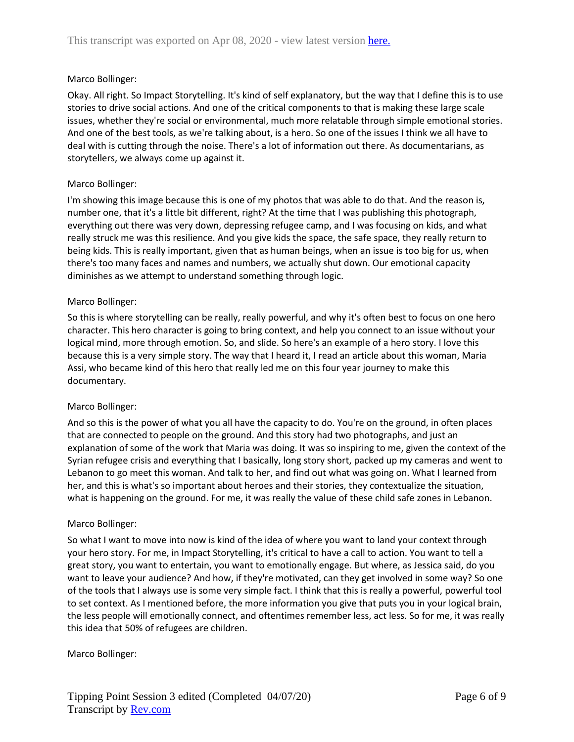# Marco Bollinger:

Okay. All right. So Impact Storytelling. It's kind of self explanatory, but the way that I define this is to use stories to drive social actions. And one of the critical components to that is making these large scale issues, whether they're social or environmental, much more relatable through simple emotional stories. And one of the best tools, as we're talking about, is a hero. So one of the issues I think we all have to deal with is cutting through the noise. There's a lot of information out there. As documentarians, as storytellers, we always come up against it.

# Marco Bollinger:

I'm showing this image because this is one of my photos that was able to do that. And the reason is, number one, that it's a little bit different, right? At the time that I was publishing this photograph, everything out there was very down, depressing refugee camp, and I was focusing on kids, and what really struck me was this resilience. And you give kids the space, the safe space, they really return to being kids. This is really important, given that as human beings, when an issue is too big for us, when there's too many faces and names and numbers, we actually shut down. Our emotional capacity diminishes as we attempt to understand something through logic.

## Marco Bollinger:

So this is where storytelling can be really, really powerful, and why it's often best to focus on one hero character. This hero character is going to bring context, and help you connect to an issue without your logical mind, more through emotion. So, and slide. So here's an example of a hero story. I love this because this is a very simple story. The way that I heard it, I read an article about this woman, Maria Assi, who became kind of this hero that really led me on this four year journey to make this documentary.

## Marco Bollinger:

And so this is the power of what you all have the capacity to do. You're on the ground, in often places that are connected to people on the ground. And this story had two photographs, and just an explanation of some of the work that Maria was doing. It was so inspiring to me, given the context of the Syrian refugee crisis and everything that I basically, long story short, packed up my cameras and went to Lebanon to go meet this woman. And talk to her, and find out what was going on. What I learned from her, and this is what's so important about heroes and their stories, they contextualize the situation, what is happening on the ground. For me, it was really the value of these child safe zones in Lebanon.

## Marco Bollinger:

So what I want to move into now is kind of the idea of where you want to land your context through your hero story. For me, in Impact Storytelling, it's critical to have a call to action. You want to tell a great story, you want to entertain, you want to emotionally engage. But where, as Jessica said, do you want to leave your audience? And how, if they're motivated, can they get involved in some way? So one of the tools that I always use is some very simple fact. I think that this is really a powerful, powerful tool to set context. As I mentioned before, the more information you give that puts you in your logical brain, the less people will emotionally connect, and oftentimes remember less, act less. So for me, it was really this idea that 50% of refugees are children.

## Marco Bollinger: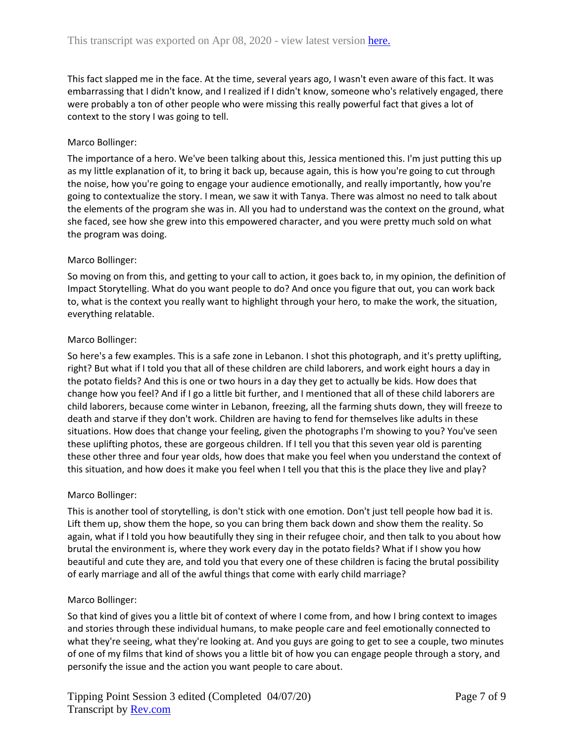This fact slapped me in the face. At the time, several years ago, I wasn't even aware of this fact. It was embarrassing that I didn't know, and I realized if I didn't know, someone who's relatively engaged, there were probably a ton of other people who were missing this really powerful fact that gives a lot of context to the story I was going to tell.

# Marco Bollinger:

The importance of a hero. We've been talking about this, Jessica mentioned this. I'm just putting this up as my little explanation of it, to bring it back up, because again, this is how you're going to cut through the noise, how you're going to engage your audience emotionally, and really importantly, how you're going to contextualize the story. I mean, we saw it with Tanya. There was almost no need to talk about the elements of the program she was in. All you had to understand was the context on the ground, what she faced, see how she grew into this empowered character, and you were pretty much sold on what the program was doing.

## Marco Bollinger:

So moving on from this, and getting to your call to action, it goes back to, in my opinion, the definition of Impact Storytelling. What do you want people to do? And once you figure that out, you can work back to, what is the context you really want to highlight through your hero, to make the work, the situation, everything relatable.

## Marco Bollinger:

So here's a few examples. This is a safe zone in Lebanon. I shot this photograph, and it's pretty uplifting, right? But what if I told you that all of these children are child laborers, and work eight hours a day in the potato fields? And this is one or two hours in a day they get to actually be kids. How does that change how you feel? And if I go a little bit further, and I mentioned that all of these child laborers are child laborers, because come winter in Lebanon, freezing, all the farming shuts down, they will freeze to death and starve if they don't work. Children are having to fend for themselves like adults in these situations. How does that change your feeling, given the photographs I'm showing to you? You've seen these uplifting photos, these are gorgeous children. If I tell you that this seven year old is parenting these other three and four year olds, how does that make you feel when you understand the context of this situation, and how does it make you feel when I tell you that this is the place they live and play?

## Marco Bollinger:

This is another tool of storytelling, is don't stick with one emotion. Don't just tell people how bad it is. Lift them up, show them the hope, so you can bring them back down and show them the reality. So again, what if I told you how beautifully they sing in their refugee choir, and then talk to you about how brutal the environment is, where they work every day in the potato fields? What if I show you how beautiful and cute they are, and told you that every one of these children is facing the brutal possibility of early marriage and all of the awful things that come with early child marriage?

## Marco Bollinger:

So that kind of gives you a little bit of context of where I come from, and how I bring context to images and stories through these individual humans, to make people care and feel emotionally connected to what they're seeing, what they're looking at. And you guys are going to get to see a couple, two minutes of one of my films that kind of shows you a little bit of how you can engage people through a story, and personify the issue and the action you want people to care about.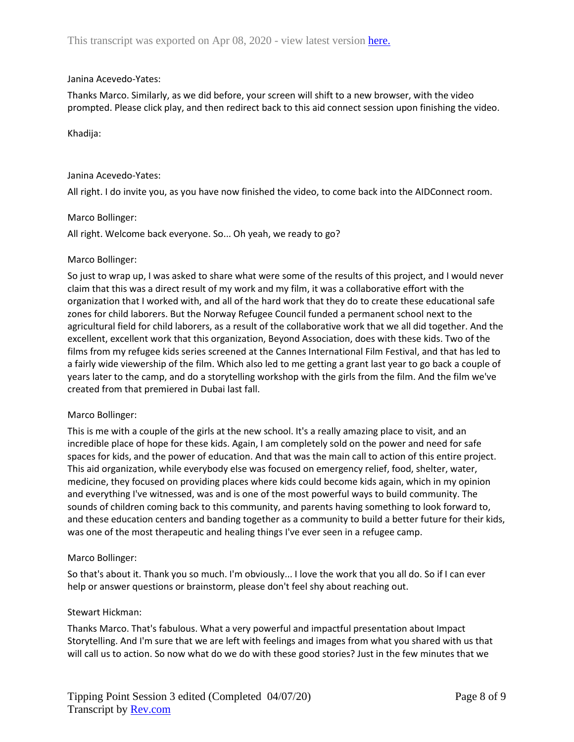### Janina Acevedo-Yates:

Thanks Marco. Similarly, as we did before, your screen will shift to a new browser, with the video prompted. Please click play, and then redirect back to this aid connect session upon finishing the video.

### Khadija:

#### Janina Acevedo-Yates:

All right. I do invite you, as you have now finished the video, to come back into the AIDConnect room.

### Marco Bollinger:

All right. Welcome back everyone. So... Oh yeah, we ready to go?

### Marco Bollinger:

So just to wrap up, I was asked to share what were some of the results of this project, and I would never claim that this was a direct result of my work and my film, it was a collaborative effort with the organization that I worked with, and all of the hard work that they do to create these educational safe zones for child laborers. But the Norway Refugee Council funded a permanent school next to the agricultural field for child laborers, as a result of the collaborative work that we all did together. And the excellent, excellent work that this organization, Beyond Association, does with these kids. Two of the films from my refugee kids series screened at the Cannes International Film Festival, and that has led to a fairly wide viewership of the film. Which also led to me getting a grant last year to go back a couple of years later to the camp, and do a storytelling workshop with the girls from the film. And the film we've created from that premiered in Dubai last fall.

## Marco Bollinger:

This is me with a couple of the girls at the new school. It's a really amazing place to visit, and an incredible place of hope for these kids. Again, I am completely sold on the power and need for safe spaces for kids, and the power of education. And that was the main call to action of this entire project. This aid organization, while everybody else was focused on emergency relief, food, shelter, water, medicine, they focused on providing places where kids could become kids again, which in my opinion and everything I've witnessed, was and is one of the most powerful ways to build community. The sounds of children coming back to this community, and parents having something to look forward to, and these education centers and banding together as a community to build a better future for their kids, was one of the most therapeutic and healing things I've ever seen in a refugee camp.

#### Marco Bollinger:

So that's about it. Thank you so much. I'm obviously... I love the work that you all do. So if I can ever help or answer questions or brainstorm, please don't feel shy about reaching out.

## Stewart Hickman:

Thanks Marco. That's fabulous. What a very powerful and impactful presentation about Impact Storytelling. And I'm sure that we are left with feelings and images from what you shared with us that will call us to action. So now what do we do with these good stories? Just in the few minutes that we